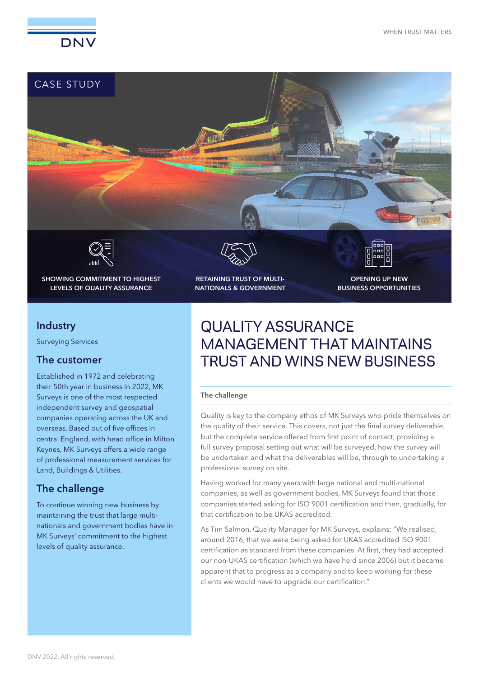



# **Industry**

Surveying Services

## The customer

Established in 1972 and celebrating their 50th year in business in 2022, MK Surveys is one of the most respected independent survey and geospatial companies operating across the UK and overseas. Based out of five offices in central England, with head office in Milton Keynes, MK Surveys offers a wide range of professional measurement services for Land, Buildings & Utilities.

## The challenge

To continue winning new business by maintaining the trust that large multinationals and government bodies have in MK Surveys' commitment to the highest levels of quality assurance.

# QUALITY ASSURANCE MANAGEMENT THAT MAINTAINS TRUST AND WINS NEW BUSINESS

#### The challenge

Quality is key to the company ethos of MK Surveys who pride themselves on the quality of their service. This covers, not just the final survey deliverable, but the complete service offered from first point of contact, providing a full survey proposal setting out what will be surveyed, how the survey will be undertaken and what the deliverables will be, through to undertaking a professional survey on site.

Having worked for many years with large national and multi-national companies, as well as government bodies, MK Surveys found that those companies started asking for ISO 9001 certification and then, gradually, for that certification to be UKAS accredited.

As Tim Salmon, Quality Manager for MK Surveys, explains: "We realised, around 2016, that we were being asked for UKAS accredited ISO 9001 certification as standard from these companies. At first, they had accepted our non-UKAS certification (which we have held since 2006) but it became apparent that to progress as a company and to keep working for these clients we would have to upgrade our certification."